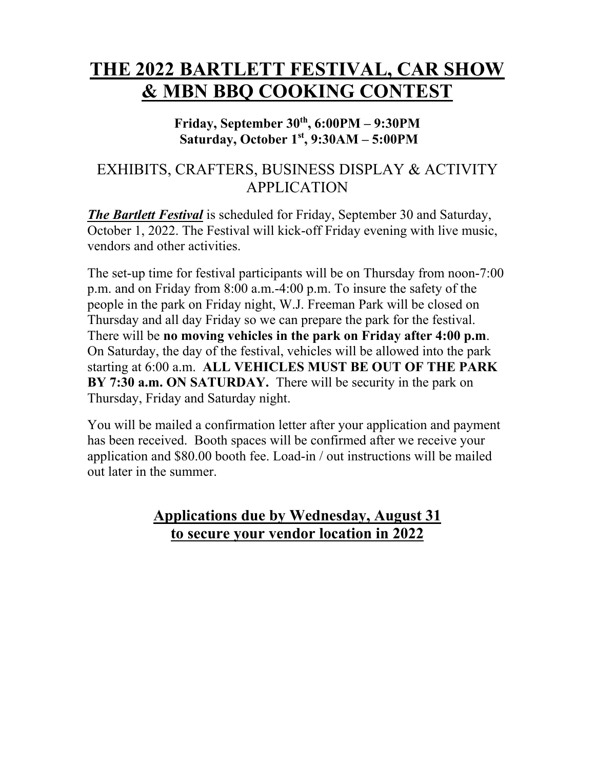# **THE 2022 BARTLETT FESTIVAL, CAR SHOW & MBN BBQ COOKING CONTEST**

#### Friday, September  $30<sup>th</sup>$ , 6:00PM – 9:30PM  **Saturday, October 1st, 9:30AM – 5:00PM**

# EXHIBITS, CRAFTERS, BUSINESS DISPLAY & ACTIVITY APPLICATION

*The Bartlett Festival* is scheduled for Friday, September 30 and Saturday, October 1, 2022. The Festival will kick-off Friday evening with live music, vendors and other activities.

The set-up time for festival participants will be on Thursday from noon-7:00 p.m. and on Friday from 8:00 a.m.-4:00 p.m. To insure the safety of the people in the park on Friday night, W.J. Freeman Park will be closed on Thursday and all day Friday so we can prepare the park for the festival. There will be **no moving vehicles in the park on Friday after 4:00 p.m**. On Saturday, the day of the festival, vehicles will be allowed into the park starting at 6:00 a.m. **ALL VEHICLES MUST BE OUT OF THE PARK BY 7:30 a.m. ON SATURDAY.** There will be security in the park on Thursday, Friday and Saturday night.

You will be mailed a confirmation letter after your application and payment has been received. Booth spaces will be confirmed after we receive your application and \$80.00 booth fee. Load-in / out instructions will be mailed out later in the summer.

## **Applications due by Wednesday, August 31 to secure your vendor location in 2022**